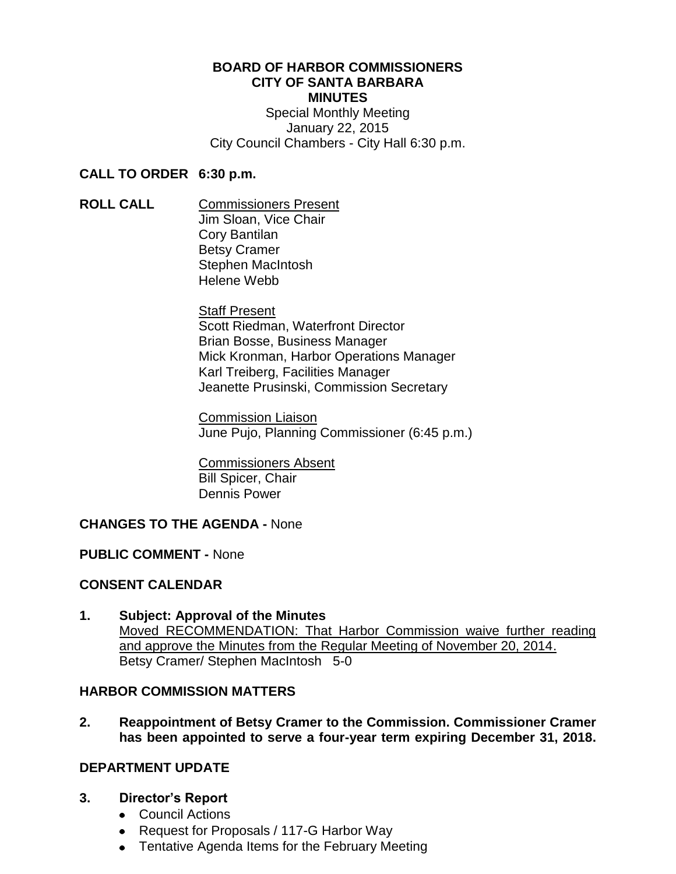# **BOARD OF HARBOR COMMISSIONERS CITY OF SANTA BARBARA MINUTES**

Special Monthly Meeting January 22, 2015 City Council Chambers - City Hall 6:30 p.m.

#### **CALL TO ORDER 6:30 p.m.**

**ROLL CALL** Commissioners Present Jim Sloan, Vice Chair Cory Bantilan Betsy Cramer Stephen MacIntosh Helene Webb

> Staff Present Scott Riedman, Waterfront Director Brian Bosse, Business Manager Mick Kronman, Harbor Operations Manager Karl Treiberg, Facilities Manager Jeanette Prusinski, Commission Secretary

Commission Liaison June Pujo, Planning Commissioner (6:45 p.m.)

Commissioners Absent Bill Spicer, Chair Dennis Power

# **CHANGES TO THE AGENDA -** None

#### **PUBLIC COMMENT -** None

# **CONSENT CALENDAR**

**1. Subject: Approval of the Minutes** Moved RECOMMENDATION: That Harbor Commission waive further reading and approve the Minutes from the Regular Meeting of November 20, 2014. Betsy Cramer/ Stephen MacIntosh 5-0

#### **HARBOR COMMISSION MATTERS**

**2. Reappointment of Betsy Cramer to the Commission. Commissioner Cramer has been appointed to serve a four-year term expiring December 31, 2018.**

#### **DEPARTMENT UPDATE**

- **3. Director's Report**
	- Council Actions
	- Request for Proposals / 117-G Harbor Way
	- Tentative Agenda Items for the February Meeting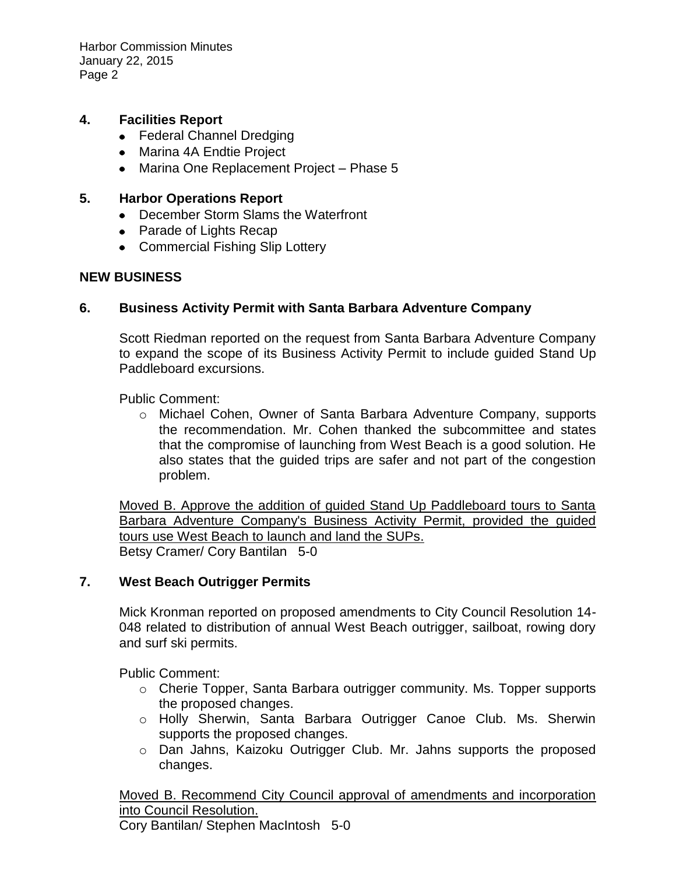Harbor Commission Minutes January 22, 2015 Page 2

#### **4. Facilities Report**

- Federal Channel Dredging
- Marina 4A Endtie Project
- Marina One Replacement Project Phase 5

#### **5. Harbor Operations Report**

- December Storm Slams the Waterfront
- Parade of Lights Recap
- Commercial Fishing Slip Lottery

### **NEW BUSINESS**

### **6. Business Activity Permit with Santa Barbara Adventure Company**

Scott Riedman reported on the request from Santa Barbara Adventure Company to expand the scope of its Business Activity Permit to include guided Stand Up Paddleboard excursions.

Public Comment:

o Michael Cohen, Owner of Santa Barbara Adventure Company, supports the recommendation. Mr. Cohen thanked the subcommittee and states that the compromise of launching from West Beach is a good solution. He also states that the guided trips are safer and not part of the congestion problem.

Moved B. Approve the addition of guided Stand Up Paddleboard tours to Santa Barbara Adventure Company's Business Activity Permit, provided the guided tours use West Beach to launch and land the SUPs. Betsy Cramer/ Cory Bantilan 5-0

#### **7. West Beach Outrigger Permits**

Mick Kronman reported on proposed amendments to City Council Resolution 14- 048 related to distribution of annual West Beach outrigger, sailboat, rowing dory and surf ski permits.

Public Comment:

- o Cherie Topper, Santa Barbara outrigger community. Ms. Topper supports the proposed changes.
- o Holly Sherwin, Santa Barbara Outrigger Canoe Club. Ms. Sherwin supports the proposed changes.
- o Dan Jahns, Kaizoku Outrigger Club. Mr. Jahns supports the proposed changes.

Moved B. Recommend City Council approval of amendments and incorporation into Council Resolution.

Cory Bantilan/ Stephen MacIntosh 5-0